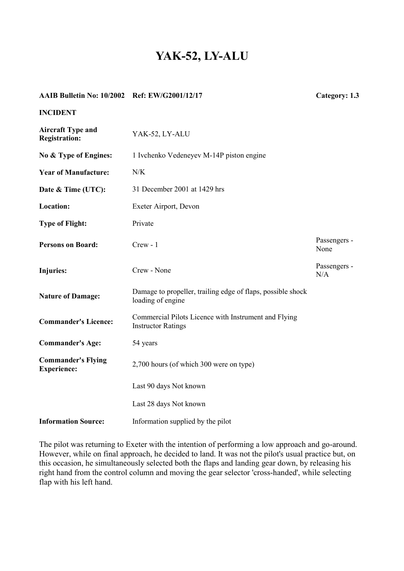## **YAK-52, LY-ALU**

| AAIB Bulletin No: 10/2002 Ref: EW/G2001/12/17    |                                                                                   | Category: 1.3        |
|--------------------------------------------------|-----------------------------------------------------------------------------------|----------------------|
| <b>INCIDENT</b>                                  |                                                                                   |                      |
| <b>Aircraft Type and</b><br><b>Registration:</b> | YAK-52, LY-ALU                                                                    |                      |
| No & Type of Engines:                            | 1 Ivchenko Vedeneyev M-14P piston engine                                          |                      |
| <b>Year of Manufacture:</b>                      | N/K                                                                               |                      |
| Date & Time (UTC):                               | 31 December 2001 at 1429 hrs                                                      |                      |
| Location:                                        | Exeter Airport, Devon                                                             |                      |
| <b>Type of Flight:</b>                           | Private                                                                           |                      |
| <b>Persons on Board:</b>                         | $Crew - 1$                                                                        | Passengers -<br>None |
| Injuries:                                        | Crew - None                                                                       | Passengers -<br>N/A  |
| <b>Nature of Damage:</b>                         | Damage to propeller, trailing edge of flaps, possible shock<br>loading of engine  |                      |
| <b>Commander's Licence:</b>                      | Commercial Pilots Licence with Instrument and Flying<br><b>Instructor Ratings</b> |                      |
| <b>Commander's Age:</b>                          | 54 years                                                                          |                      |
| <b>Commander's Flying</b><br><b>Experience:</b>  | 2,700 hours (of which 300 were on type)                                           |                      |
|                                                  | Last 90 days Not known                                                            |                      |
|                                                  | Last 28 days Not known                                                            |                      |
| <b>Information Source:</b>                       | Information supplied by the pilot                                                 |                      |

The pilot was returning to Exeter with the intention of performing a low approach and go-around. However, while on final approach, he decided to land. It was not the pilot's usual practice but, on this occasion, he simultaneously selected both the flaps and landing gear down, by releasing his right hand from the control column and moving the gear selector 'cross-handed', while selecting flap with his left hand.